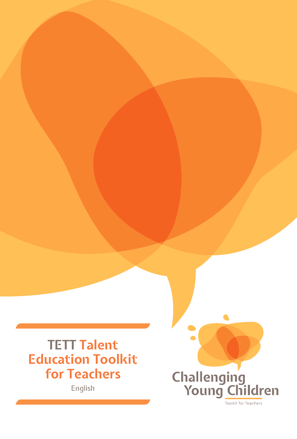**TETT Talent Education Toolkit for Teachers**

English

Challenging<br>Young Children Toolkit for Teachers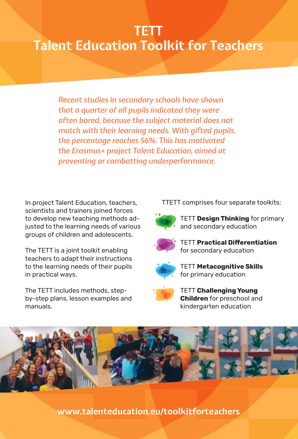# **TETT Talent Education Toolkit for Teachers**

*Recent studies in secondary schools have shown that a quarter of all pupils indicated they were often bored, because the subject material does not match with their learning needs. With gifted pupils, the percentage reaches 56%. This has motivated the Erasmus+ project Talent Education, aimed at preventing or combatting underperformance.*

In project Talent Education, teachers, scientists and trainers joined forces to develop new teaching methods adjusted to the learning needs of various groups of children and adolescents.

The TETT is a joint toolkit enabling teachers to adapt their instructions to the learning needs of their pupils in practical ways.

The TETT includes methods, stepby-step plans, lesson examples and manuals.

TTETT comprises four separate toolkits:



 TETT **Design Thinking** for primary and secondary education



**TETT Practical Differentiation** for secondary education



 TETT **Metacognitive Skills** TETT for primary education



 TETT **Challenging Young Children** for preschool and kindergarten education



**www.talenteducation.eu/toolkitforteachers**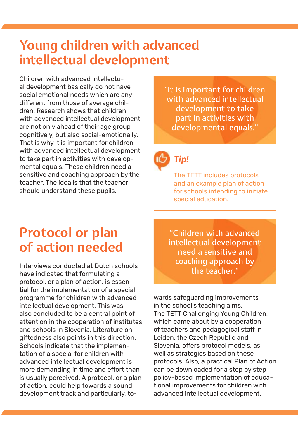### **Young children with advanced intellectual development**

Children with advanced intellectual development basically do not have social emotional needs which are any different from those of average children. Research shows that children with advanced intellectual development are not only ahead of their age group cognitively, but also social-emotionally. That is why it is important for children with advanced intellectual development to take part in activities with developmental equals. These children need a sensitive and coaching approach by the teacher. The idea is that the teacher should understand these pupils.

"It is important for children with advanced intellectual development to take part in activities with developmental equals."

### *Tip!*

The TETT includes protocols and an example plan of action for schools intending to initiate special education.

# **Protocol or plan of action needed**

Interviews conducted at Dutch schools have indicated that formulating a protocol, or a plan of action, is essential for the implementation of a special programme for children with advanced intellectual development. This was also concluded to be a central point of attention in the cooperation of institutes and schools in Slovenia. Literature on giftedness also points in this direction. Schools indicate that the implementation of a special for children with advanced intellectual development is more demanding in time and effort than is usually perceived. A protocol, or a plan of action, could help towards a sound development track and particularly, to-

"Children with advanced intellectual development need a sensitive and coaching approach by the teacher."

wards safeguarding improvements<br>in the school's teaching aims.<br>The TETT Challenging Young Children,<br>which came about by a cooperation of teachers and pedagogical staff in Leiden, the Czech Republic and Slovenia, offers protocol models, as well as strategies based on these<br>protocols. Also, a practical Plan of Action<br>can be downloaded for a step by step<br>policy-based implementation of educational improvements for children with advanced intellectual development.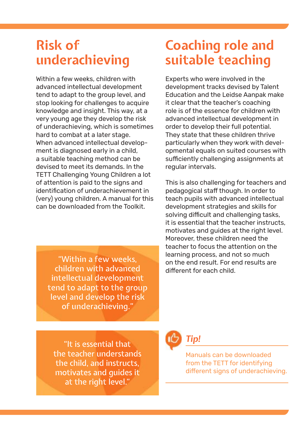### **Risk of underachieving**

Within a few weeks, children with advanced intellectual development tend to adapt to the group level, and stop looking for challenges to acquire knowledge and insight. This way, at a very young age they develop the risk of underachieving, which is sometimes hard to combat at a later stage. When advanced intellectual development is diagnosed early in a child, a suitable teaching method can be devised to meet its demands. In the TETT Challenging Young Children a lot of attention is paid to the signs and identification of underachievement in (very) young children. A manual for this can be downloaded from the Toolkit.

"Within a few weeks, children with advanced intellectual development tend to adapt to the group level and develop the risk of underachieving."

"It is essential that the teacher understands the child, and instructs, motivates and guides it at the right level."

## **Coaching role and suitable teaching**

Experts who were involved in the development tracks devised by Talent Education and the Leidse Aanpak make it clear that the teacher's coaching role is of the essence for children with advanced intellectual development in order to develop their full potential. They state that these children thrive particularly when they work with developmental equals on suited courses with sufficiently challenging assignments at regular intervals.

This is also challenging for teachers and pedagogical staff though. In order to teach pupils with advanced intellectual development strategies and skills for solving difficult and challenging tasks. it is essential that the teacher instructs, motivates and guides at the right level. Moreover, these children need the teacher to focus the attention on the learning process, and not so much on the end result. For end results are different for each child.

*Tip!*

Manuals can be downloaded from the TETT for identifying different signs of underachieving.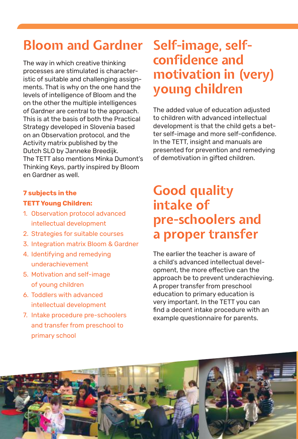# **Bloom and Gardner Self-image, self-**

The way in which creative thinking processes are stimulated is characteristic of suitable and challenging assignments. That is why on the one hand the levels of intelligence of Bloom and the on the other the multiple intelligences of Gardner are central to the approach. This is at the basis of both the Practical Strategy developed in Slovenia based on an Observation protocol, and the Activity matrix published by the Dutch SLO by Janneke Breedijk. The TETT also mentions Minka Dumont's Thinking Keys, partly inspired by Bloom en Gardner as well.

### **7 subjects in the**

#### **TETT Young Children:**

- 1. Observation protocol advanced intellectual development
- 2. Strategies for suitable courses
- 3. Integration matrix Bloom & Gardner
- 4. Identifying and remedying underachievement
- 5. Motivation and self-image of young children
- 6. Toddlers with advanced intellectual development
- 7. Intake procedure pre-schoolers and transfer from preschool to primary school

# **confidence and motivation in (very) young children**

The added value of education adjusted to children with advanced intellectual development is that the child gets a better self-image and more self-confidence. In the TETT, insight and manuals are presented for prevention and remedying of demotivation in gifted children.

# **Good quality intake of pre-schoolers and a proper transfer**

The earlier the teacher is aware of a child's advanced intellectual development, the more effective can the approach be to prevent underachieving. A proper transfer from preschool education to primary education is very important. In the TETT you can find a decent intake procedure with an example questionnaire for parents.